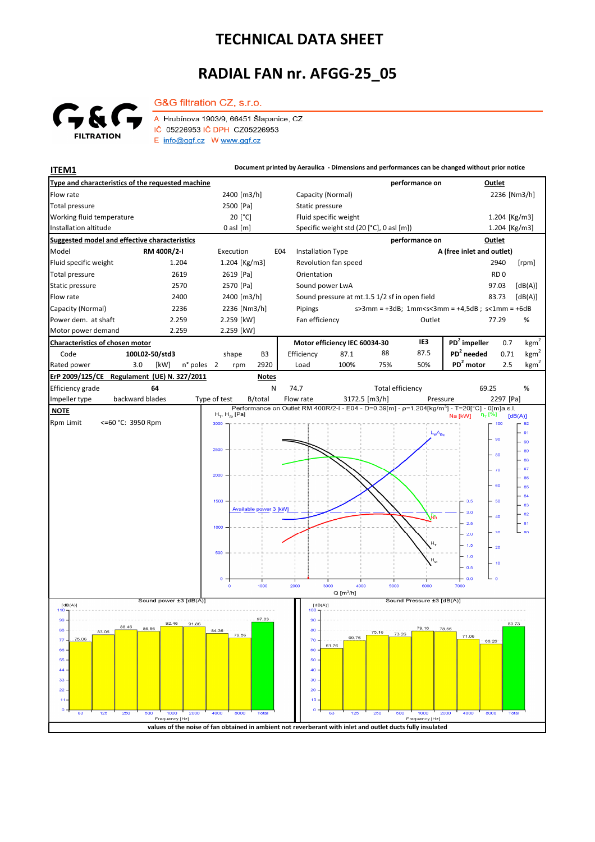## **TECHNICAL DATA SHEET**

## **RADIAL FAN nr. AFGG-25\_05**



G&G filtration CZ, s.r.o.

A Hrubínova 1903/9, 66451 Šlapanice, CZ IČ 05226953 IČ DPH CZ05226953  $E$  info@ggf.cz W www.ggf.cz

**ITEM1 Document printed by Aeraulica** - Dimensions and performances can be changed without prior notice **Type and characteristics of the requested machine performance on Outlet** Flow rate 236 [Nm3/h] 2236 [Nm3/h] 2236 [Nm3/h] 2236 [Nm3/h] 2236 [Nm3/h] 2236 [Nm3/h] 2500 [Pa] Static pressure Total pressure Working fluid temperature [°C] Fluid specific weight 1.204 [Kg/m3] Installation altitude 0 asl [m] Specific weight std (20 [°C], 0 asl [m]) Specific weight std (20 [°C], 0 asl [m]) 1.204 [Kg/m3] **Suggested model and effective characteristics performance on Outlet** Model **RM 400R/2-I** Execution E04 Installation Type **A (free inlet and outlet)** Fluid specific weight 1.204 1.204 [Kg/m3] Revolution fan speed 2940 [rpm] Total pressure 2619 2619 2619 [Pa] Orientation **RD** 0 Static pressure 2570 2570 2570 [Pa] Sound power LwA 97.03 [dB(A)] Flow rate 2400 2400 2400 [m3/h] Sound pressure at mt.1.5 1/2 sf in open field 83.73 [dB(A)] Capacity (Normal) 2236 2236 [Nm3/h] s>3mm = +3dB; 1mm<s<3mm = +4,5dB ; s<1mm = +6dB Pipings Power dem. at shaft 2.259 2.259 [kW] Fan efficiency **COULLER 19 COULLER 19 TO 20 A** COULLER 19 TO 20 A V 77.29 Motor power demand 2.259 2.259 [kW] **Characteristics of chosen motor Motor efficiency IEC 60034-30 IE3 PD<sup>2</sup> impeller** 0.7  $kgm<sup>2</sup>$ Code **100L02-50/std3 PD<sup>2</sup> needed** 0.71 shape B3 Efficiency 87.1 88 87.5 kgm<sup>2</sup> n° poles 2 rpm 2920 Load 100% 75% 50% **PD<sup>2</sup> motor** 2.5 kgm<sup>2</sup> Rated power 3.0 [kW] 2 2920 Load 100% 75% 50% **PD<sup>2</sup> ErP 2009/125/CE Regulament (UE) N. 327/2011 Notes** 69.25 Efficiency grade **64** N 74.7 Total efficiency 69.25 % backward blades Impeller type backward blades Type of test B/total Flow rate 3172.5 [m3/h] Pressure 2297 [Pa]  **NOTE**  $H_T$ ,  $H_{St}$  [Pa]  $[dB(A)]$ Rpm Limit <=60 °C: 3950 Rpm **BOOK**  $100$  $L_{w}A_{w}$ 91  $\alpha$ 90  $250$ 89 80 88 87  $\overline{u}$ 2000 86 .<br>er 85  $\overline{a}$ 1500  $3.5$ 60  $-$  83 Available power 3 [kW]  $\overline{30}$  $-82$  $\overline{40}$  $\begin{bmatrix} 81 \\ 80 \end{bmatrix}$  $25$  $\overline{\mathbf{36}}$  $\overline{20}$ H.  $\overline{15}$  $\overline{20}$  $10$  $\mathbf{H}$  $\overline{16}$  $0.5$  $0.0$  $1000$  $2000$  $3000$ 4000  $5000$ .<br>موم .<br>700C  $Q[m^3/h]$ ا<br>Sound power ±3 [dB(A)]  $s$ ure ±3 [dB(A)] Sound Pro  $[dB(A)]$  $[dB(A)]$ 97.03  $\overline{90}$ 92.46 91.86 88.46 86,56 88 80 83.06 75.16  $73.$ 79.56 69.76 71.06 75.06  $\overline{7}$  $7<sup>c</sup>$ 66.26 61.76  $66$ 60  $\overline{5}$ 50  $\overline{44}$  $\overline{40}$ 33 30  $\overline{2}$  $\overline{20}$  $\overline{1}$  $10$  $\overline{c}$ Fred y [Hz y [Hz] **values of the noise of fan obtained in ambient not reverberant with inlet and outlet ducts fully insulated**